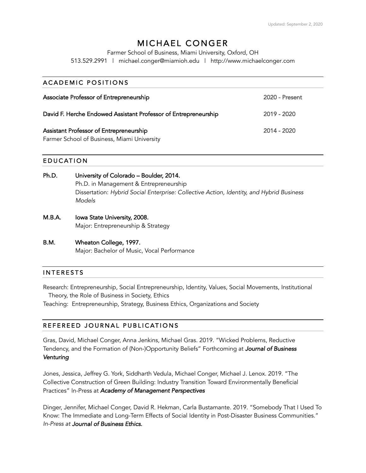# MICHAEL CONGER

Farmer School of Business, Miami University, Oxford, OH

513.529.2991 | michael.conger@miamioh.edu | http://www.michaelconger.com

| <b>ACADEMIC POSITIONS</b>                                                              |                |
|----------------------------------------------------------------------------------------|----------------|
| Associate Professor of Entrepreneurship                                                | 2020 - Present |
| David F. Herche Endowed Assistant Professor of Entrepreneurship                        | 2019 - 2020    |
| Assistant Professor of Entrepreneurship<br>Farmer School of Business, Miami University | 2014 - 2020    |

#### EDUCATION

| Ph.D. | University of Colorado - Boulder, 2014.                                                            |
|-------|----------------------------------------------------------------------------------------------------|
|       | Ph.D. in Management & Entrepreneurship                                                             |
|       | Dissertation: Hybrid Social Enterprise: Collective Action, Identity, and Hybrid Business<br>Models |

- M.B.A. Iowa State University, 2008. Major: Entrepreneurship & Strategy
- B.M. Wheaton College, 1997. Major: Bachelor of Music, Vocal Performance

### INTERESTS

Research: Entrepreneurship, Social Entrepreneurship, Identity, Values, Social Movements, Institutional Theory, the Role of Business in Society, Ethics

Teaching: Entrepreneurship, Strategy, Business Ethics, Organizations and Society

### REFEREED JOURNAL PUBLICATIONS

Gras, David, Michael Conger, Anna Jenkins, Michael Gras. 2019. "Wicked Problems, Reductive Tendency, and the Formation of (Non-)Opportunity Beliefs" Forthcoming at *Journal of Business Venturing* 

Jones, Jessica, Jeffrey G. York, Siddharth Vedula, Michael Conger, Michael J. Lenox. 2019. "The Collective Construction of Green Building: Industry Transition Toward Environmentally Beneficial Practices" In-Press at *Academy of Management Perspectives*

Dinger, Jennifer, Michael Conger, David R. Hekman, Carla Bustamante. 2019. "Somebody That I Used To Know: The Immediate and Long-Term Effects of Social Identity in Post-Disaster Business Communities." *In-Press at Journal of Business Ethics.*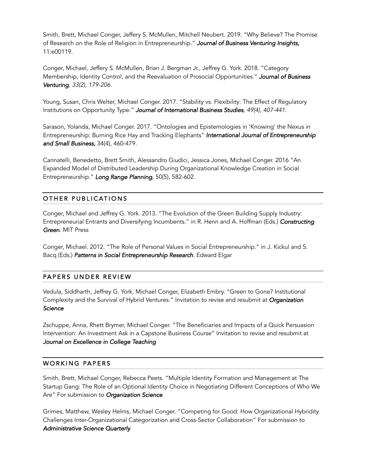Smith, Brett, Michael Conger, Jeffery S. McMullen, Mitchell Neubert. 2019. "Why Believe? The Promise of Research on the Role of Religion in Entrepreneurship." *Journal of Business Venturing Insights,*  11:e00119.

Conger, Michael, Jeffery S. McMullen, Brian J. Bergman Jr., Jeffrey G. York. 2018. "Category Membership, Identity Control, and the Reevaluation of Prosocial Opportunities." *Journal of Business Venturing, 33(2), 179-206.*

Young, Susan, Chris Welter, Michael Conger. 2017. "Stability vs. Flexibility: The Effect of Regulatory Institutions on Opportunity Type." *Journal of International Business Studies, 49(4), 407-441.*

Sarason, Yolanda, Michael Conger. 2017. "Ontologies and Epistemologies in 'Knowing' the Nexus in Entrepreneurship: Burning Rice Hay and Tracking Elephants" *International Journal of Entrepreneurship and Small Business,* 34(4), 460-479.

Cannatelli, Benedetto, Brett Smith, Alessandro Giudici, Jessica Jones, Michael Conger. 2016 "An Expanded Model of Distributed Leadership During Organizational Knowledge Creation in Social Entrepreneurship." *Long Range Planning*, 50(5), 582-602.

### OTHER PUBLICATIONS

Conger, Michael and Jeffrey G. York. 2013. "The Evolution of the Green Building Supply Industry: Entrepreneurial Entrants and Diversifying Incumbents." in R. Henn and A. Hoffman (Eds.) *Constructing Green.* MIT Press

Conger, Michael. 2012. "The Role of Personal Values in Social Entrepreneurship." in J. Kickul and S. Bacq (Eds.) Patterns in Social Entrepreneurship Research. Edward Elgar

### PAPERS UNDER REVIEW

Vedula, Siddharth, Jeffrey G. York, Michael Conger, Elizabeth Embry. "Green to Gone? Institutional Complexity and the Survival of Hybrid Ventures." Invitation to revise and resubmit at *Organization Science* 

Zschuppe, Anna, Rhett Brymer, Michael Conger. "The Beneficiaries and Impacts of a Quick Persuasion Intervention: An Investment Ask in a Capstone Business Course" Invitation to revise and resubmit at *Journal on Excellence in College Teaching* 

### WORKING PAPERS

Smith, Brett, Michael Conger, Rebecca Peets. "Multiple Identity Formation and Management at The Startup Gang: The Role of an Optional Identity Choice in Negotiating Different Conceptions of Who We Are" For submission to *Organization Science* 

Grimes, Matthew, Wesley Helms, Michael Conger. "Competing for Good: How Organizational Hybridity Challenges Inter-Organizational Categorization and Cross-Sector Collaboration" For submission to *Administrative Science Quarterly*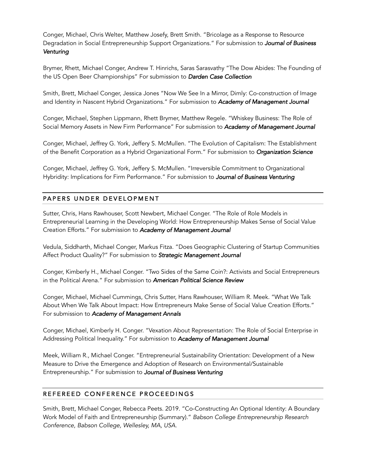Conger, Michael, Chris Welter, Matthew Josefy, Brett Smith. "Bricolage as a Response to Resource Degradation in Social Entrepreneurship Support Organizations." For submission to *Journal of Business Venturing* 

Brymer, Rhett, Michael Conger, Andrew T. Hinrichs, Saras Sarasvathy "The Dow Abides: The Founding of the US Open Beer Championships" For submission to *Darden Case Collection* 

Smith, Brett, Michael Conger, Jessica Jones "Now We See In a Mirror, Dimly: Co-construction of Image and Identity in Nascent Hybrid Organizations." For submission to *Academy of Management Journal* 

Conger, Michael, Stephen Lippmann, Rhett Brymer, Matthew Regele. "Whiskey Business: The Role of Social Memory Assets in New Firm Performance" For submission to *Academy of Management Journal* 

Conger, Michael, Jeffrey G. York, Jeffery S. McMullen. "The Evolution of Capitalism: The Establishment of the Benefit Corporation as a Hybrid Organizational Form." For submission to *Organization Science* 

Conger, Michael, Jeffrey G. York, Jeffery S. McMullen. "Irreversible Commitment to Organizational Hybridity: Implications for Firm Performance." For submission to *Journal of Business Venturing* 

# PAPERS UNDER DEVELOPMENT

Sutter, Chris, Hans Rawhouser, Scott Newbert, Michael Conger. "The Role of Role Models in Entrepreneurial Learning in the Developing World: How Entrepreneurship Makes Sense of Social Value Creation Efforts." For submission to *Academy of Management Journal* 

Vedula, Siddharth, Michael Conger, Markus Fitza. "Does Geographic Clustering of Startup Communities Affect Product Quality?" For submission to *Strategic Management Journal* 

Conger, Kimberly H., Michael Conger. "Two Sides of the Same Coin?: Activists and Social Entrepreneurs in the Political Arena." For submission to *American Political Science Review*

Conger, Michael, Michael Cummings, Chris Sutter, Hans Rawhouser, William R. Meek. "What We Talk About When We Talk About Impact: How Entrepreneurs Make Sense of Social Value Creation Efforts." For submission to *Academy of Management Annals* 

Conger, Michael, Kimberly H. Conger. "Vexation About Representation: The Role of Social Enterprise in Addressing Political Inequality." For submission to *Academy of Management Journal* 

Meek, William R., Michael Conger. "Entrepreneurial Sustainability Orientation: Development of a New Measure to Drive the Emergence and Adoption of Research on Environmental/Sustainable Entrepreneurship." For submission to *Journal of Business Venturing* 

# REFEREED CONFERENCE PROCEEDINGS

Smith, Brett, Michael Conger, Rebecca Peets. 2019. "Co-Constructing An Optional Identity: A Boundary Work Model of Faith and Entrepreneurship (Summary)." *Babson College Entrepreneurship Research Conference, Babson College, Wellesley, MA, USA.*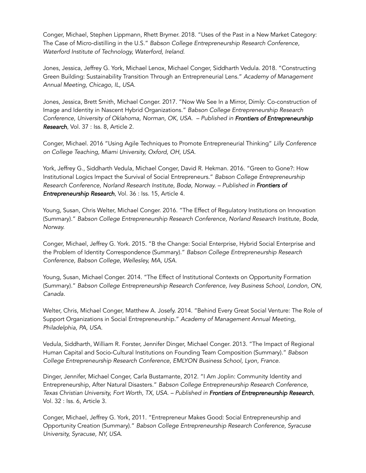Conger, Michael, Stephen Lippmann, Rhett Brymer. 2018. "Uses of the Past in a New Market Category: The Case of Micro-distilling in the U.S." *Babson College Entrepreneurship Research Conference, Waterford Institute of Technology, Waterford, Ireland.* 

Jones, Jessica, Jeffrey G. York, Michael Lenox, Michael Conger, Siddharth Vedula. 2018. "Constructing Green Building: Sustainability Transition Through an Entrepreneurial Lens." *Academy of Management Annual Meeting, Chicago, IL, USA.*

Jones, Jessica, Brett Smith, Michael Conger. 2017. "Now We See In a Mirror, Dimly: Co-construction of Image and Identity in Nascent Hybrid Organizations." *Babson College Entrepreneurship Research Conference, University of Oklahoma, Norman, OK, USA. – Published in Frontiers of Entrepreneurship Research*, Vol. 37 : Iss. 8, Article 2.

Conger, Michael. 2016 "Using Agile Techniques to Promote Entrepreneurial Thinking" *Lilly Conference on College Teaching, Miami University, Oxford, OH, USA.*

York, Jeffrey G., Siddharth Vedula, Michael Conger, David R. Hekman. 2016. "Green to Gone?: How Institutional Logics Impact the Survival of Social Entrepreneurs." *Babson College Entrepreneurship Research Conference, Norland Research Institute, Bodø, Norway. – Published in Frontiers of Entrepreneurship Research*, Vol. 36 : Iss. 15, Article 4.

Young, Susan, Chris Welter, Michael Conger. 2016. "The Effect of Regulatory Institutions on Innovation (Summary)." *Babson College Entrepreneurship Research Conference, Norland Research Institute, Bodø, Norway.*

Conger, Michael, Jeffrey G. York. 2015. "B the Change: Social Enterprise, Hybrid Social Enterprise and the Problem of Identity Correspondence (Summary)." *Babson College Entrepreneurship Research Conference, Babson College, Wellesley, MA, USA.*

Young, Susan, Michael Conger. 2014. "The Effect of Institutional Contexts on Opportunity Formation (Summary)." *Babson College Entrepreneurship Research Conference, Ivey Business School, London, ON, Canada.*

Welter, Chris, Michael Conger, Matthew A. Josefy. 2014. "Behind Every Great Social Venture: The Role of Support Organizations in Social Entrepreneurship." *Academy of Management Annual Meeting, Philadelphia, PA, USA.*

Vedula, Siddharth, William R. Forster, Jennifer Dinger, Michael Conger. 2013. "The Impact of Regional Human Capital and Socio-Cultural Institutions on Founding Team Composition (Summary)." *Babson College Entrepreneurship Research Conference, EMLYON Business School, Lyon, France.* 

Dinger, Jennifer, Michael Conger, Carla Bustamante, 2012. "I Am Joplin: Community Identity and Entrepreneurship, After Natural Disasters." *Babson College Entrepreneurship Research Conference, Texas Christian University, Fort Worth, TX, USA. – Published in Frontiers of Entrepreneurship Research*, Vol. 32 : Iss. 6, Article 3.

Conger, Michael, Jeffrey G. York, 2011. "Entrepreneur Makes Good: Social Entrepreneurship and Opportunity Creation (Summary)." *Babson College Entrepreneurship Research Conference, Syracuse University, Syracuse, NY, USA.*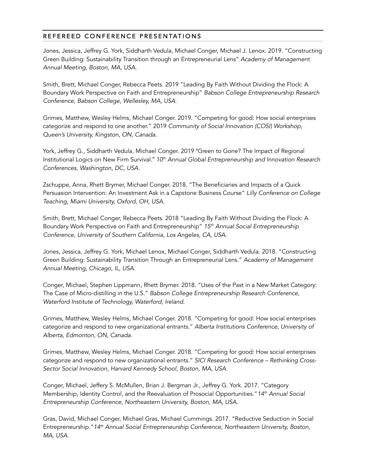# REFEREED CONFERENCE PRESENTATIONS

Jones, Jessica, Jeffrey G. York, Siddharth Vedula, Michael Conger, Michael J. Lenox. 2019. "Constructing Green Building: Sustainability Transition through an Entrepreneurial Lens" *Academy of Management Annual Meeting, Boston, MA, USA.*

Smith, Brett, Michael Conger, Rebecca Peets. 2019 "Leading By Faith Without Dividing the Flock: A Boundary Work Perspective on Faith and Entrepreneurship" *Babson College Entrepreneurship Research Conference, Babson College, Wellesley, MA, USA.* 

Grimes, Matthew, Wesley Helms, Michael Conger. 2019. "Competing for good: How social enterprises categorize and respond to one another." 2019 *Community of Social Innovation (COSI) Workshop, Queen's University, Kingston, ON, Canada.*

York, Jeffrey G., Siddharth Vedula, Michael Conger. 2019 "Green to Gone? The Impact of Regional Institutional Logics on New Firm Survival." *10th Annual Global Entrepreneurship and Innovation Research Conferences, Washington, DC, USA.* 

Zschuppe, Anna, Rhett Brymer, Michael Conger. 2018. "The Beneficiaries and Impacts of a Quick Persuasion Intervention: An Investment Ask in a Capstone Business Course" *Lilly Conference on College Teaching, Miami University, Oxford, OH, USA.* 

Smith, Brett, Michael Conger, Rebecca Peets. 2018 "Leading By Faith Without Dividing the Flock: A Boundary Work Perspective on Faith and Entrepreneurship" *15th Annual Social Entrepreneurship Conference, University of Southern California, Los Angeles, CA, USA.*

Jones, Jessica, Jeffrey G. York, Michael Lenox, Michael Conger, Siddharth Vedula. 2018. "Constructing Green Building: Sustainability Transition Through an Entrepreneurial Lens." *Academy of Management Annual Meeting, Chicago, IL, USA.*

Conger, Michael, Stephen Lippmann, Rhett Brymer. 2018. "Uses of the Past in a New Market Category: The Case of Micro-distilling in the U.S." *Babson College Entrepreneurship Research Conference, Waterford Institute of Technology, Waterford, Ireland.* 

Grimes, Matthew, Wesley Helms, Michael Conger. 2018. "Competing for good: How social enterprises categorize and respond to new organizational entrants." *Alberta Institutions Conference, University of Alberta, Edmonton, ON, Canada.*

Grimes, Matthew, Wesley Helms, Michael Conger. 2018. "Competing for good: How social enterprises categorize and respond to new organizational entrants." *SICI Research Conference – Rethinking Cross-Sector Social Innovation, Harvard Kennedy School, Boston, MA, USA.* 

Conger, Michael, Jeffery S. McMullen, Brian J. Bergman Jr., Jeffrey G. York. 2017. "Category Membership, Identity Control, and the Reevaluation of Prosocial Opportunities."*14th Annual Social Entrepreneurship Conference, Northeastern University, Boston, MA, USA.*

Gras, David, Michael Conger, Michael Gras, Michael Cummings. 2017. "Reductive Seduction in Social Entrepreneurship."*14th Annual Social Entrepreneurship Conference, Northeastern University, Boston, MA, USA.*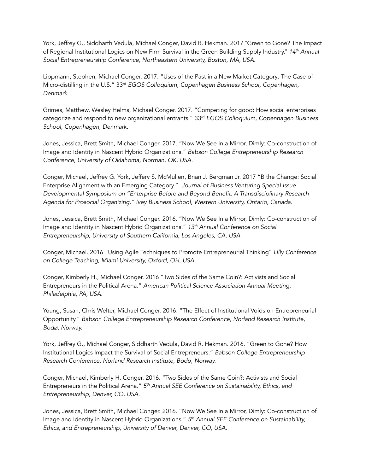York, Jeffrey G., Siddharth Vedula, Michael Conger, David R. Hekman. 2017 "Green to Gone? The Impact of Regional Institutional Logics on New Firm Survival in the Green Building Supply Industry." *14th Annual Social Entrepreneurship Conference, Northeastern University, Boston, MA, USA.*

Lippmann, Stephen, Michael Conger. 2017. "Uses of the Past in a New Market Category: The Case of Micro-distilling in the U.S." 33rd *EGOS Colloquium, Copenhagen Business School, Copenhagen, Denmark.* 

Grimes, Matthew, Wesley Helms, Michael Conger. 2017. "Competing for good: How social enterprises categorize and respond to new organizational entrants." 33rd *EGOS Colloquium, Copenhagen Business School, Copenhagen, Denmark.* 

Jones, Jessica, Brett Smith, Michael Conger. 2017. "Now We See In a Mirror, Dimly: Co-construction of Image and Identity in Nascent Hybrid Organizations." *Babson College Entrepreneurship Research Conference, University of Oklahoma, Norman, OK, USA.*

Conger, Michael, Jeffrey G. York, Jeffery S. McMullen, Brian J. Bergman Jr. 2017 "B the Change: Social Enterprise Alignment with an Emerging Category." *Journal of Business Venturing Special Issue Developmental Symposium on "Enterprise Before and Beyond Benefit: A Transdisciplinary Research Agenda for Prosocial Organizing." Ivey Business School, Western University, Ontario, Canada.*

Jones, Jessica, Brett Smith, Michael Conger. 2016. "Now We See In a Mirror, Dimly: Co-construction of Image and Identity in Nascent Hybrid Organizations." *13th Annual Conference on Social Entrepreneurship, University of Southern California, Los Angeles, CA, USA.*

Conger, Michael. 2016 "Using Agile Techniques to Promote Entrepreneurial Thinking" *Lilly Conference on College Teaching, Miami University, Oxford, OH, USA.*

Conger, Kimberly H., Michael Conger. 2016 "Two Sides of the Same Coin?: Activists and Social Entrepreneurs in the Political Arena." *American Political Science Association Annual Meeting, Philadelphia, PA, USA.* 

Young, Susan, Chris Welter, Michael Conger. 2016. "The Effect of Institutional Voids on Entrepreneurial Opportunity." *Babson College Entrepreneurship Research Conference, Norland Research Institute, Bodø, Norway.* 

York, Jeffrey G., Michael Conger, Siddharth Vedula, David R. Hekman. 2016. "Green to Gone? How Institutional Logics Impact the Survival of Social Entrepreneurs." *Babson College Entrepreneurship Research Conference, Norland Research Institute, Bodø, Norway.*

Conger, Michael, Kimberly H. Conger. 2016. "Two Sides of the Same Coin?: Activists and Social Entrepreneurs in the Political Arena." *5th Annual SEE Conference on Sustainability, Ethics, and Entrepreneurship, Denver, CO, USA.* 

Jones, Jessica, Brett Smith, Michael Conger. 2016. "Now We See In a Mirror, Dimly: Co-construction of Image and Identity in Nascent Hybrid Organizations." *5th Annual SEE Conference on Sustainability, Ethics, and Entrepreneurship, University of Denver, Denver, CO, USA.*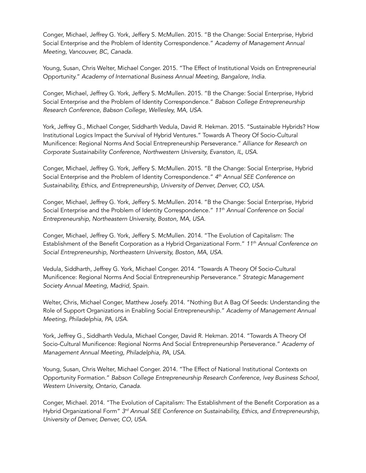Conger, Michael, Jeffrey G. York, Jeffery S. McMullen. 2015. "B the Change: Social Enterprise, Hybrid Social Enterprise and the Problem of Identity Correspondence." *Academy of Management Annual Meeting, Vancouver, BC, Canada.*

Young, Susan, Chris Welter, Michael Conger. 2015. "The Effect of Institutional Voids on Entrepreneurial Opportunity." *Academy of International Business Annual Meeting, Bangalore, India.* 

Conger, Michael, Jeffrey G. York, Jeffery S. McMullen. 2015. "B the Change: Social Enterprise, Hybrid Social Enterprise and the Problem of Identity Correspondence." *Babson College Entrepreneurship Research Conference, Babson College, Wellesley, MA, USA.*

York, Jeffrey G., Michael Conger, Siddharth Vedula, David R. Hekman. 2015. "Sustainable Hybrids? How Institutional Logics Impact the Survival of Hybrid Ventures." Towards A Theory Of Socio-Cultural Munificence: Regional Norms And Social Entrepreneurship Perseverance." *Alliance for Research on Corporate Sustainability Conference, Northwestern University, Evanston, IL, USA.*

Conger, Michael, Jeffrey G. York, Jeffery S. McMullen. 2015. "B the Change: Social Enterprise, Hybrid Social Enterprise and the Problem of Identity Correspondence." *4th Annual SEE Conference on Sustainability, Ethics, and Entrepreneurship, University of Denver, Denver, CO, USA.*

Conger, Michael, Jeffrey G. York, Jeffery S. McMullen. 2014. "B the Change: Social Enterprise, Hybrid Social Enterprise and the Problem of Identity Correspondence." *11th Annual Conference on Social Entrepreneurship, Northeastern University, Boston, MA, USA.*

Conger, Michael, Jeffrey G. York, Jeffery S. McMullen. 2014. "The Evolution of Capitalism: The Establishment of the Benefit Corporation as a Hybrid Organizational Form." *11th Annual Conference on Social Entrepreneurship, Northeastern University, Boston, MA, USA.* 

Vedula, Siddharth, Jeffrey G. York, Michael Conger. 2014. "Towards A Theory Of Socio-Cultural Munificence: Regional Norms And Social Entrepreneurship Perseverance." *Strategic Management Society Annual Meeting, Madrid, Spain.*

Welter, Chris, Michael Conger, Matthew Josefy. 2014. "Nothing But A Bag Of Seeds: Understanding the Role of Support Organizations in Enabling Social Entrepreneurship." *Academy of Management Annual Meeting, Philadelphia, PA, USA.*

York, Jeffrey G., Siddharth Vedula, Michael Conger, David R. Hekman. 2014. "Towards A Theory Of Socio-Cultural Munificence: Regional Norms And Social Entrepreneurship Perseverance." *Academy of Management Annual Meeting, Philadelphia, PA, USA.*

Young, Susan, Chris Welter, Michael Conger. 2014. "The Effect of National Institutional Contexts on Opportunity Formation." *Babson College Entrepreneurship Research Conference, Ivey Business School, Western University, Ontario, Canada.* 

Conger, Michael. 2014. "The Evolution of Capitalism: The Establishment of the Benefit Corporation as a Hybrid Organizational Form" *3rd Annual SEE Conference on Sustainability, Ethics, and Entrepreneurship, University of Denver, Denver, CO, USA.*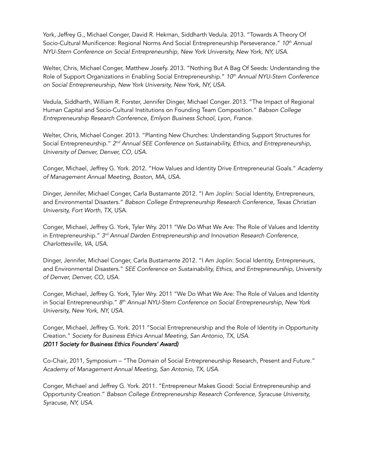York, Jeffrey G., Michael Conger, David R. Hekman, Siddharth Vedula. 2013. "Towards A Theory Of Socio-Cultural Munificence: Regional Norms And Social Entrepreneurship Perseverance." *10th Annual NYU-Stern Conference on Social Entrepreneurship, New York University, New York, NY, USA.*

Welter, Chris, Michael Conger, Matthew Josefy. 2013. "Nothing But A Bag Of Seeds: Understanding the Role of Support Organizations in Enabling Social Entrepreneurship." *10th Annual NYU-Stern Conference on Social Entrepreneurship, New York University, New York, NY, USA.*

Vedula, Siddharth, William R. Forster, Jennifer Dinger, Michael Conger. 2013. "The Impact of Regional Human Capital and Socio-Cultural Institutions on Founding Team Composition." *Babson College Entrepreneurship Research Conference, Emlyon Business School, Lyon, France.* 

Welter, Chris, Michael Conger. 2013. "Planting New Churches: Understanding Support Structures for Social Entrepreneurship." *2nd Annual SEE Conference on Sustainability, Ethics, and Entrepreneurship, University of Denver, Denver, CO, USA.*

Conger, Michael, Jeffrey G. York. 2012. "How Values and Identity Drive Entrepreneurial Goals." *Academy of Management Annual Meeting, Boston, MA, USA.*

Dinger, Jennifer, Michael Conger, Carla Bustamante 2012. "I Am Joplin: Social Identity, Entrepreneurs, and Environmental Disasters." *Babson College Entrepreneurship Research Conference, Texas Christian University, Fort Worth, TX*, USA.

Conger, Michael, Jeffrey G. York, Tyler Wry. 2011 "We Do What We Are: The Role of Values and Identity in Entrepreneurship." *3rd Annual Darden Entrepreneurship and Innovation Research Conference, Charlottesville, VA, USA.* 

Dinger, Jennifer, Michael Conger, Carla Bustamante 2012. "I Am Joplin: Social Identity, Entrepreneurs, and Environmental Disasters." *SEE Conference on Sustainability, Ethics, and Entrepreneurship, University of Denver, Denver, CO, USA.*

Conger, Michael, Jeffrey G. York, Tyler Wry. 2011 "We Do What We Are: The Role of Values and Identity in Social Entrepreneurship." *8th Annual NYU-Stern Conference on Social Entrepreneurship, New York University, New York, NY, USA.*

Conger, Michael, Jeffrey G. York. 2011 "Social Entrepreneurship and the Role of Identity in Opportunity Creation." *Society for Business Ethics Annual Meeting, San Antonio, TX, USA. (2011 Society for Business Ethics Founders' Award)* 

Co-Chair, 2011, Symposium – "The Domain of Social Entrepreneurship Research, Present and Future." *Academy of Management Annual Meeting, San Antonio, TX, USA.*

Conger, Michael and Jeffrey G. York. 2011. "Entrepreneur Makes Good: Social Entrepreneurship and Opportunity Creation." *Babson College Entrepreneurship Research Conference, Syracuse University, Syracuse, NY, USA.*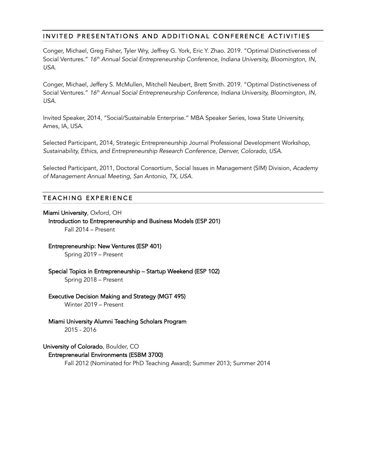### INVITED PRESENTATIONS AND ADDITIONAL CONFERENCE ACTIVITIES

Conger, Michael, Greg Fisher, Tyler Wry, Jeffrey G. York, Eric Y. Zhao. 2019. "Optimal Distinctiveness of Social Ventures." 16<sup>th</sup> Annual Social Entrepreneurship Conference, Indiana University, Bloomington, IN, *USA.*

Conger, Michael, Jeffery S. McMullen, Mitchell Neubert, Brett Smith. 2019. "Optimal Distinctiveness of Social Ventures." *16th Annual Social Entrepreneurship Conference, Indiana University, Bloomington, IN, USA.*

Invited Speaker, 2014, "Social/Sustainable Enterprise." MBA Speaker Series, Iowa State University, Ames, IA, USA.

Selected Participant, 2014, Strategic Entrepreneurship Journal Professional Development Workshop, *Sustainability, Ethics, and Entrepreneurship Research Conference, Denver, Colorado, USA.*

Selected Participant, 2011, Doctoral Consortium, Social Issues in Management (SIM) Division, *Academy of Management Annual Meeting, San Antonio, TX, USA.*

### TEACHING EXPERIENCE

Miami University, Oxford, OH Introduction to Entrepreneurship and Business Models (ESP 201) Fall 2014 – Present

#### Entrepreneurship: New Ventures (ESP 401)

Spring 2019 – Present

Special Topics in Entrepreneurship – Startup Weekend (ESP 102) Spring 2018 – Present

Executive Decision Making and Strategy (MGT 495)

Winter 2019 – Present

Miami University Alumni Teaching Scholars Program 2015 - 2016

#### University of Colorado, Boulder, CO

#### Entrepreneurial Environments (ESBM 3700)

Fall 2012 (Nominated for PhD Teaching Award); Summer 2013; Summer 2014